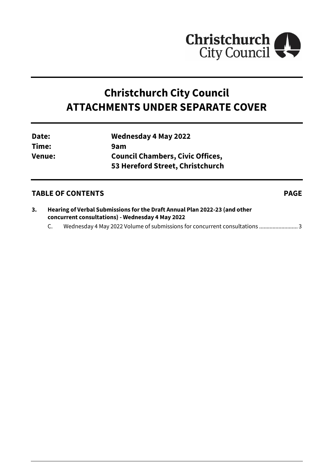

### **Christchurch City Council ATTACHMENTS UNDER SEPARATE COVER**

| Date:  | Wednesday 4 May 2022                    |
|--------|-----------------------------------------|
| Time:  | 9am                                     |
| Venue: | <b>Council Chambers, Civic Offices,</b> |
|        | 53 Hereford Street, Christchurch        |

### **TABLE OF CONTENTS PAGE**

- **3. Hearing of Verbal Submissions for the Draft Annual Plan 2022-23 (and other concurrent consultations) - Wednesday 4 May 2022**
	- C. Wednesday 4 May 2022 Volume of submissions for concurrent consultations .......................... [3](#page-2-0)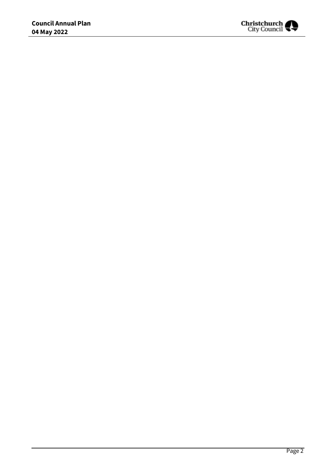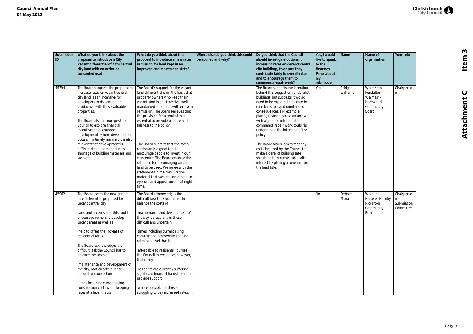<span id="page-2-0"></span>

| Submission<br>ID | What do you think about the<br>proposal to introduce a City                                                                                                                                                                                                                                                                                                                                                                                                                                                                                 | What do you think about the<br>proposal to introduce a new rates                                                                                                                                                                                                                                                                                                                                                                                                                                                                                                                                                                                                                       | Where else do you think this could<br>be applied and why? | Do you think that the Council<br>should investigate options for                                                                                                                                                                                                                                                                                                                                                                                                                                                                                                              | Yes, I would<br>like to speak            | Name                       |
|------------------|---------------------------------------------------------------------------------------------------------------------------------------------------------------------------------------------------------------------------------------------------------------------------------------------------------------------------------------------------------------------------------------------------------------------------------------------------------------------------------------------------------------------------------------------|----------------------------------------------------------------------------------------------------------------------------------------------------------------------------------------------------------------------------------------------------------------------------------------------------------------------------------------------------------------------------------------------------------------------------------------------------------------------------------------------------------------------------------------------------------------------------------------------------------------------------------------------------------------------------------------|-----------------------------------------------------------|------------------------------------------------------------------------------------------------------------------------------------------------------------------------------------------------------------------------------------------------------------------------------------------------------------------------------------------------------------------------------------------------------------------------------------------------------------------------------------------------------------------------------------------------------------------------------|------------------------------------------|----------------------------|
|                  | Vacant differential of 4 for central<br>city land with no active or<br>consented use?                                                                                                                                                                                                                                                                                                                                                                                                                                                       | remission for land kept in an<br>improved and maintained state?                                                                                                                                                                                                                                                                                                                                                                                                                                                                                                                                                                                                                        |                                                           | increasing rates on derelict central<br>city buildings, to ensure they<br>contribute fairly to overall rates                                                                                                                                                                                                                                                                                                                                                                                                                                                                 | to the<br><b>Hearings</b><br>Panel about |                            |
|                  |                                                                                                                                                                                                                                                                                                                                                                                                                                                                                                                                             |                                                                                                                                                                                                                                                                                                                                                                                                                                                                                                                                                                                                                                                                                        |                                                           | and to encourage them to<br>commence repair work?                                                                                                                                                                                                                                                                                                                                                                                                                                                                                                                            | my<br>submission                         |                            |
| 45794            | The Board supports the proposal to<br>increase rates on vacant central<br>city land, as an incentive for<br>developers to do something<br>productive with these valuable<br>properties.<br>The Board also encourages the<br>Council to explore financial<br>incentives to encourage<br>development, where development<br>occurs in a timely manner. It is also<br>relevant that development is<br>difficult at the moment due to a<br>shortage of building materials and<br>workers.                                                        | The Board's support for the vacant<br>land differential is on the basis that<br>property owners who keep their<br>vacant land in an attractive, well<br>maintained condition, will receive a<br>remission. The Board believes that<br>the provision for a remission is<br>essential to provide balance and<br>fairness to the policy.<br>The Board submits that the rates<br>remission is a great tool to<br>encourage people to invest in our<br>city centre. The Board endorse the<br>rationale for encouraging vacant<br>land to be used. We agree with the<br>statements in the consultation<br>material that vacant land can be an<br>eyesore and appear unsafe at night<br>time. |                                                           | The Board supports the intention<br>behind this suggestion for derelict<br>buildings, but suggests it would<br>need to be explored on a case by<br>case basis to avoid unintended<br>consequences. For example,<br>placing financial stress on an owner<br>with a genuine intention to<br>commence repair work could risk<br>undermining the intention of the<br>policy.<br>The Board also submits that any<br>costs incurred by the Council to<br>make a derelict building safe<br>should be fully recoverable with<br>interest by placing a covenant on<br>the land title. | Yes                                      | <b>Bridget</b><br>Williams |
| 45962            | The Board notes the new general<br>rate differential proposed for<br>vacant central city<br>land and accepts that this could<br>encourage owners to develop<br>vacant areas as well as<br>help to offset the increase of<br>residential rates.<br>The Board acknowledges the<br>difficult task the Council has to<br>balance the costs of<br>maintenance and development of<br>the city, particularly in these<br>difficult and uncertain<br>times including current rising<br>construction costs while keeping<br>rates at a level that is | The Board acknowledges the<br>difficult task the Council has to<br>balance the costs of<br>maintenance and development of<br>the city, particularly in these<br>difficult and uncertain<br>times including current rising<br>construction costs while keeping<br>rates at a level that is<br>affordable to residents. It urges<br>the Council to recognise, however,<br>that many<br>residents are currently suffering<br>significant financial hardship and to<br>provide support<br>where possible for those<br>struggling to pay increased rates. In                                                                                                                                |                                                           |                                                                                                                                                                                                                                                                                                                                                                                                                                                                                                                                                                              | No                                       | Debbie<br>Mora             |

Christchurch<br>City Council

| <b>Name</b>                | Name of<br>organisation                                               | Your role                                      |
|----------------------------|-----------------------------------------------------------------------|------------------------------------------------|
| <b>Bridget</b><br>Williams | Waimāero<br>Fendalton-<br>Waimairi-<br>Harewood<br>Community<br>Board | Chairperso<br>n                                |
| Debbie<br>Mora             | Waipuna<br>Halswell Hornby<br>Riccarton<br>Community<br>Board         | Chairperso<br>$n -$<br>Submission<br>Committee |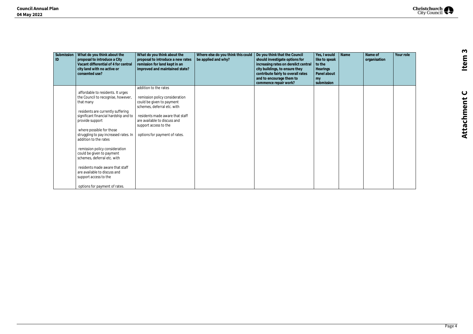| <b>Name</b> | Name of<br>organisation | Your role |
|-------------|-------------------------|-----------|
|             |                         |           |
|             |                         |           |
|             |                         |           |

| Submission<br>ID | What do you think about the<br>proposal to introduce a City<br>Vacant differential of 4 for central<br>city land with no active or<br>consented use?                                                                                                                                                                                                                                                                                                                                                           | What do you think about the<br>proposal to introduce a new rates<br>remission for land kept in an<br>improved and maintained state?<br>addition to the rates                                                            | Where else do you think this could<br>be applied and why? | Do you think that the Council<br>should investigate options for<br>increasing rates on derelict central<br>city buildings, to ensure they<br>contribute fairly to overall rates<br>and to encourage them to<br>commence repair work? | Yes, I would<br>like to speak<br>to the<br><b>Hearings</b><br>Panel about<br>my<br>submission | Name |
|------------------|----------------------------------------------------------------------------------------------------------------------------------------------------------------------------------------------------------------------------------------------------------------------------------------------------------------------------------------------------------------------------------------------------------------------------------------------------------------------------------------------------------------|-------------------------------------------------------------------------------------------------------------------------------------------------------------------------------------------------------------------------|-----------------------------------------------------------|--------------------------------------------------------------------------------------------------------------------------------------------------------------------------------------------------------------------------------------|-----------------------------------------------------------------------------------------------|------|
|                  | affordable to residents. It urges<br>the Council to recognise, however,<br>that many<br>residents are currently suffering<br>significant financial hardship and to<br>provide support<br>where possible for those<br>struggling to pay increased rates. In<br>addition to the rates<br>remission policy consideration<br>could be given to payment<br>schemes, deferral etc. with<br>residents made aware that staff<br>are available to discuss and<br>support access to the<br>options for payment of rates. | remission policy consideration<br>could be given to payment<br>schemes, deferral etc. with<br>residents made aware that staff<br>are available to discuss and<br>support access to the<br>options for payment of rates. |                                                           |                                                                                                                                                                                                                                      |                                                                                               |      |
|                  |                                                                                                                                                                                                                                                                                                                                                                                                                                                                                                                |                                                                                                                                                                                                                         |                                                           |                                                                                                                                                                                                                                      |                                                                                               |      |

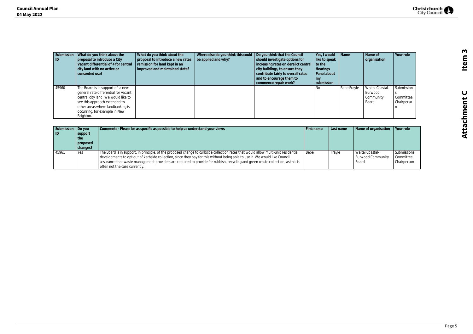| c<br>ξ<br>$\mathbf{a}^+$        |  |
|---------------------------------|--|
| d<br>ē<br>Į<br>¢<br>í<br>É<br>Ξ |  |

| Submission | What do you think about the          | What do you think about the       | Where else do you think this could $\vert$ Do you think that the Council |                                      | Yes, I would  | $\blacksquare$ Name | Name of         | Your role  |
|------------|--------------------------------------|-----------------------------------|--------------------------------------------------------------------------|--------------------------------------|---------------|---------------------|-----------------|------------|
| ID         | proposal to introduce a City         | proposal to introduce a new rates | be applied and why?                                                      | should investigate options for       | like to speak |                     | organisation    |            |
|            | Vacant differential of 4 for central | remission for land kept in an     |                                                                          | increasing rates on derelict central | to the        |                     |                 |            |
|            | city land with no active or          | improved and maintained state?    |                                                                          | city buildings, to ensure they       | Hearings      |                     |                 |            |
|            | consented use?                       |                                   |                                                                          | contribute fairly to overall rates   | Panel about   |                     |                 |            |
|            |                                      |                                   |                                                                          | and to encourage them to             | my            |                     |                 |            |
|            |                                      |                                   |                                                                          | commence repair work?                | submission    |                     |                 |            |
| 45960      | The Board is in support of a new     |                                   |                                                                          |                                      | No            | Bebe Frayle         | Waitai Coastal- | Submission |
|            | general rate differential for vacant |                                   |                                                                          |                                      |               |                     | Burwood         |            |
|            | central city land. We would like to  |                                   |                                                                          |                                      |               |                     | Community       | Committee  |
|            | see this approach extended to        |                                   |                                                                          |                                      |               |                     | Board           | Chairperso |
|            | other areas where landbanking is     |                                   |                                                                          |                                      |               |                     |                 |            |
|            | occurring, for example in New        |                                   |                                                                          |                                      |               |                     |                 |            |
|            | Brighton.                            |                                   |                                                                          |                                      |               |                     |                 |            |

| Submission   Do you |          | Comments - Please be as specific as possible to help us understand your views                                                      | First name | Last name | Name of organisation     | Your role   |
|---------------------|----------|------------------------------------------------------------------------------------------------------------------------------------|------------|-----------|--------------------------|-------------|
| l ID.               | support  |                                                                                                                                    |            |           |                          |             |
|                     | the      |                                                                                                                                    |            |           |                          |             |
|                     | proposed |                                                                                                                                    |            |           |                          |             |
|                     | changes? |                                                                                                                                    |            |           |                          |             |
| 45961               | Yes      | The Board is in support, in principle, of the proposed change to curbside collection rates that would allow multi-unit residential | Bebe       | Frayle    | Waitai Coastal-          | Submissions |
|                     |          | developments to opt out of kerbside collection, since they pay for this without being able to use it. We would like Council        |            |           | <b>Burwood Community</b> | Committee   |
|                     |          | assurance that waste management providers are required to provide for rubbish, recycling and green waste collection, as this is    |            |           | Board                    | Chairperson |
|                     |          | often not the case currently.                                                                                                      |            |           |                          |             |

## Christchurch<br>City Council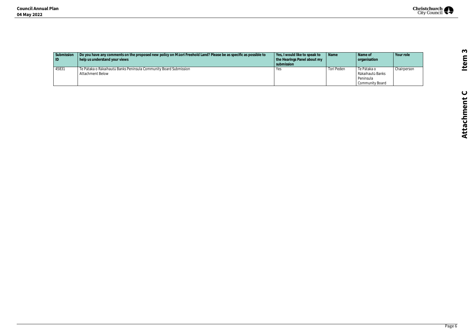Page 6

| Submission<br>l ID | Do you have any comments on the proposed new policy on Maori Freehold Land? Please be as specific as possible to<br>help us understand your views | Yes, I would like to speak to<br>the Hearings Panel about my<br>submission | <i>Name</i> | Name of<br>organisation                                         | Your role   |
|--------------------|---------------------------------------------------------------------------------------------------------------------------------------------------|----------------------------------------------------------------------------|-------------|-----------------------------------------------------------------|-------------|
| 45831              | Te Pātaka o Rākaihautū Banks Peninsula Community Board Submission<br>Attachment Below                                                             | Yes                                                                        | Tori Peden  | Te Pātaka o<br>Rākaihautū Banks<br>Peninsula<br>Community Board | Chairperson |

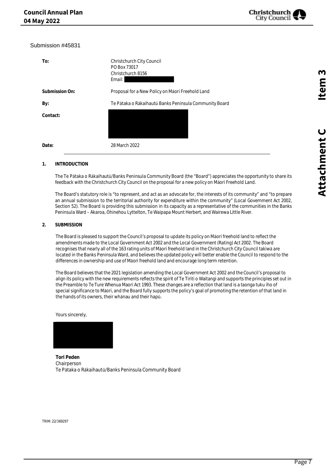#### Submission #45831

| To:            | Christchurch City Council<br>PO Box 73017<br>Christchurch 8156<br>Email: |
|----------------|--------------------------------------------------------------------------|
| Submission On: | Proposal for a New Policy on Maori Freehold Land                         |
| By:            | Te Pātaka o Rākaihautū Banks Peninsula Community Board                   |
| Contact:       |                                                                          |
|                |                                                                          |
|                |                                                                          |
| Date:          | 28 March 2022                                                            |

#### **1. INTRODUCTION**

The Te Pātaka o Rākaihautū/Banks Peninsula Community Board (the "Board") appreciates the opportunity to share its feedback with the Christchurch City Council on the proposal for a new policy on Māori Freehold Land.

The Board's statutory role is "to represent, and act as an advocate for, the interests of its community" and "to prepare an annual submission to the territorial authority for expenditure within the community" (Local Government Act 2002, Section 52). The Board is providing this submission in its capacity as a representative of the communities in the Banks Peninsula Ward – Akaroa, Ōhinehou Lyttelton, Te Waipapa Mount Herbert, and Wairewa Little River.

#### **2. SUBMISSION**

The Board is pleased to support the Council's proposal to update its policy on Māori freehold land to reflect the amendments made to the Local Government Act 2002 and the Local Government (Rating) Act 2002. The Board recognises that nearly all of the 163 rating units of Māori freehold land in the Christchurch City Council takiwā are located in the Banks Peninsula Ward, and believes the updated policy will better enable the Council to respond to the differences in ownership and use of Māori freehold land and encourage long term retention.

The Board believes that the 2021 legislation amending the Local Government Act 2002 and the Council's proposal to align its policy with the new requirements reflects the spirit of Te Tiriti o Waitangi and supports the principles set out in the Preamble to Te Ture Whenua Maori Act 1993. These changes are a reflection that land is a taonga tuku iho of special significance to Māori, and the Board fully supports the policy's goal of promoting the retention of that land in the hands of its owners, their whānau and their hapū.

#### Yours sincerely,



**Tori Peden** Chairperson Te Pātaka o Rākaihautū/Banks Peninsula Community Board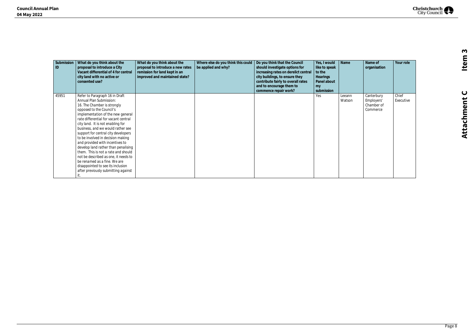| Submission<br>$ $ ID | What do you think about the<br>proposal to introduce a City<br>Vacant differential of 4 for central<br>city land with no active or<br>consented use? | What do you think about the<br>proposal to introduce a new rates<br>remission for land kept in an<br>improved and maintained state? | Where else do you think this could<br>be applied and why? | Do you think that the Council<br>should investigate options for<br>increasing rates on derelict central<br>city buildings, to ensure they<br>contribute fairly to overall rates<br>and to encourage them to<br>commence repair work? | Yes, I would<br>like to speak<br>to the<br><b>Hearings</b><br>Panel about<br>my<br>submission | Name             |
|----------------------|------------------------------------------------------------------------------------------------------------------------------------------------------|-------------------------------------------------------------------------------------------------------------------------------------|-----------------------------------------------------------|--------------------------------------------------------------------------------------------------------------------------------------------------------------------------------------------------------------------------------------|-----------------------------------------------------------------------------------------------|------------------|
| 45951                | Refer to Paragraph 16 in Draft<br>Annual Plan Submission:                                                                                            |                                                                                                                                     |                                                           |                                                                                                                                                                                                                                      | Yes                                                                                           | Leeann<br>Watson |
|                      | 16. The Chamber is strongly                                                                                                                          |                                                                                                                                     |                                                           |                                                                                                                                                                                                                                      |                                                                                               |                  |
|                      | opposed to the Council's                                                                                                                             |                                                                                                                                     |                                                           |                                                                                                                                                                                                                                      |                                                                                               |                  |
|                      | implementation of the new general                                                                                                                    |                                                                                                                                     |                                                           |                                                                                                                                                                                                                                      |                                                                                               |                  |
|                      | rate differential for vacant central                                                                                                                 |                                                                                                                                     |                                                           |                                                                                                                                                                                                                                      |                                                                                               |                  |
|                      | city land. It is not enabling for<br>business, and we would rather see                                                                               |                                                                                                                                     |                                                           |                                                                                                                                                                                                                                      |                                                                                               |                  |
|                      | support for central city developers                                                                                                                  |                                                                                                                                     |                                                           |                                                                                                                                                                                                                                      |                                                                                               |                  |
|                      | to be involved in decision making                                                                                                                    |                                                                                                                                     |                                                           |                                                                                                                                                                                                                                      |                                                                                               |                  |
|                      | and provided with incentives to                                                                                                                      |                                                                                                                                     |                                                           |                                                                                                                                                                                                                                      |                                                                                               |                  |
|                      | develop land rather than penalising                                                                                                                  |                                                                                                                                     |                                                           |                                                                                                                                                                                                                                      |                                                                                               |                  |
|                      | them. This is not a rate and should                                                                                                                  |                                                                                                                                     |                                                           |                                                                                                                                                                                                                                      |                                                                                               |                  |
|                      | not be described as one, it needs to<br>be renamed as a fine. We are                                                                                 |                                                                                                                                     |                                                           |                                                                                                                                                                                                                                      |                                                                                               |                  |
|                      | disappointed to see its inclusion                                                                                                                    |                                                                                                                                     |                                                           |                                                                                                                                                                                                                                      |                                                                                               |                  |
|                      | after previously submitting against                                                                                                                  |                                                                                                                                     |                                                           |                                                                                                                                                                                                                                      |                                                                                               |                  |
|                      | it.                                                                                                                                                  |                                                                                                                                     |                                                           |                                                                                                                                                                                                                                      |                                                                                               |                  |



| Name             | Name of<br>organisation                            | Your role          |
|------------------|----------------------------------------------------|--------------------|
| Leeann<br>Watson | Canterbury<br>Employers'<br>Chamber of<br>Commerce | Chief<br>Executive |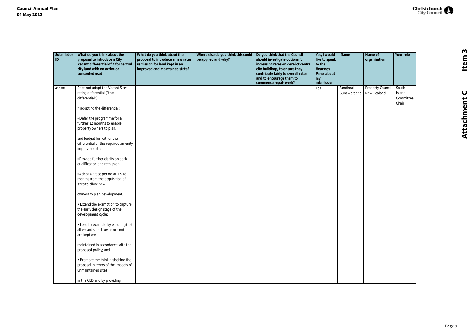| Submission<br>ID | What do you think about the<br>proposal to introduce a City<br>Vacant differential of 4 for central<br>city land with no active or<br>consented use? | What do you think about the<br>proposal to introduce a new rates<br>remission for land kept in an<br>improved and maintained state? | Where else do you think this could<br>be applied and why? | Do you think that the Council<br>should investigate options for<br>increasing rates on derelict central<br>city buildings, to ensure they<br>contribute fairly to overall rates<br>and to encourage them to | Yes, I would<br>like to speak<br>to the<br>Hearings<br>Panel about<br>my | Name                     | Name of<br>organisation                | Your role                             |
|------------------|------------------------------------------------------------------------------------------------------------------------------------------------------|-------------------------------------------------------------------------------------------------------------------------------------|-----------------------------------------------------------|-------------------------------------------------------------------------------------------------------------------------------------------------------------------------------------------------------------|--------------------------------------------------------------------------|--------------------------|----------------------------------------|---------------------------------------|
|                  |                                                                                                                                                      |                                                                                                                                     |                                                           | commence repair work?                                                                                                                                                                                       | submission                                                               |                          |                                        |                                       |
| 45988            | Does not adopt the Vacant Sites<br>rating differential ("the<br>differential");                                                                      |                                                                                                                                     |                                                           |                                                                                                                                                                                                             | Yes                                                                      | Sandimali<br>Gunawardena | <b>Property Council</b><br>New Zealand | South<br>Island<br>Committee<br>Chair |
|                  | If adopting the differential:                                                                                                                        |                                                                                                                                     |                                                           |                                                                                                                                                                                                             |                                                                          |                          |                                        |                                       |
|                  | • Defer the programme for a<br>further 12 months to enable<br>property owners to plan,                                                               |                                                                                                                                     |                                                           |                                                                                                                                                                                                             |                                                                          |                          |                                        |                                       |
|                  | and budget for, either the<br>differential or the required amenity<br>improvements;                                                                  |                                                                                                                                     |                                                           |                                                                                                                                                                                                             |                                                                          |                          |                                        |                                       |
|                  | . Provide further clarity on both<br>qualification and remission;                                                                                    |                                                                                                                                     |                                                           |                                                                                                                                                                                                             |                                                                          |                          |                                        |                                       |
|                  | • Adopt a grace period of 12-18<br>months from the acquisition of<br>sites to allow new                                                              |                                                                                                                                     |                                                           |                                                                                                                                                                                                             |                                                                          |                          |                                        |                                       |
|                  | owners to plan development;                                                                                                                          |                                                                                                                                     |                                                           |                                                                                                                                                                                                             |                                                                          |                          |                                        |                                       |
|                  | • Extend the exemption to capture<br>the early design stage of the<br>development cycle;                                                             |                                                                                                                                     |                                                           |                                                                                                                                                                                                             |                                                                          |                          |                                        |                                       |
|                  | • Lead by example by ensuring that<br>all vacant sites it owns or controls<br>are kept well                                                          |                                                                                                                                     |                                                           |                                                                                                                                                                                                             |                                                                          |                          |                                        |                                       |
|                  | maintained in accordance with the<br>proposed policy; and                                                                                            |                                                                                                                                     |                                                           |                                                                                                                                                                                                             |                                                                          |                          |                                        |                                       |
|                  | • Promote the thinking behind the<br>proposal in terms of the impacts of<br>unmaintained sites                                                       |                                                                                                                                     |                                                           |                                                                                                                                                                                                             |                                                                          |                          |                                        |                                       |
|                  | in the CBD and by providing                                                                                                                          |                                                                                                                                     |                                                           |                                                                                                                                                                                                             |                                                                          |                          |                                        |                                       |

# Christchurch<br>City Council